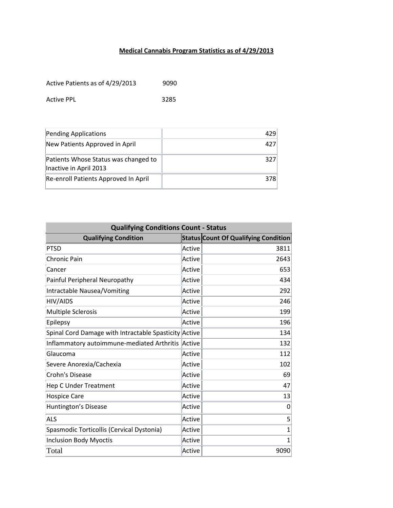## **Medical Cannabis Program Statistics as of 4/29/2013**

Active Patients as of 4/29/2013 9090

Active PPL 3285

| Pending Applications                                           | 429 |
|----------------------------------------------------------------|-----|
| New Patients Approved in April                                 | 427 |
| Patients Whose Status was changed to<br>Inactive in April 2013 | 327 |
| Re-enroll Patients Approved In April                           | 378 |

| <b>Qualifying Conditions Count - Status</b>           |        |                                             |  |
|-------------------------------------------------------|--------|---------------------------------------------|--|
| <b>Qualifying Condition</b>                           |        | <b>Status Count Of Qualifying Condition</b> |  |
| <b>PTSD</b>                                           | Active | 3811                                        |  |
| <b>Chronic Pain</b>                                   | Active | 2643                                        |  |
| Cancer                                                | Active | 653                                         |  |
| Painful Peripheral Neuropathy                         | Active | 434                                         |  |
| <b>Intractable Nausea/Vomiting</b>                    | Active | 292                                         |  |
| HIV/AIDS                                              | Active | 246                                         |  |
| <b>Multiple Sclerosis</b>                             | Active | 199                                         |  |
| Epilepsy                                              | Active | 196                                         |  |
| Spinal Cord Damage with Intractable Spasticity Active |        | 134                                         |  |
| Inflammatory autoimmune-mediated Arthritis            | Active | 132                                         |  |
| Glaucoma                                              | Active | 112                                         |  |
| Severe Anorexia/Cachexia                              | Active | 102                                         |  |
| Crohn's Disease                                       | Active | 69                                          |  |
| <b>Hep C Under Treatment</b>                          | Active | 47                                          |  |
| <b>Hospice Care</b>                                   | Active | 13                                          |  |
| Huntington's Disease                                  | Active | 0                                           |  |
| <b>ALS</b>                                            | Active | 5                                           |  |
| Spasmodic Torticollis (Cervical Dystonia)             | Active | $\mathbf{1}$                                |  |
| <b>Inclusion Body Myoctis</b>                         | Active | 1                                           |  |
| Total                                                 | Active | 9090                                        |  |